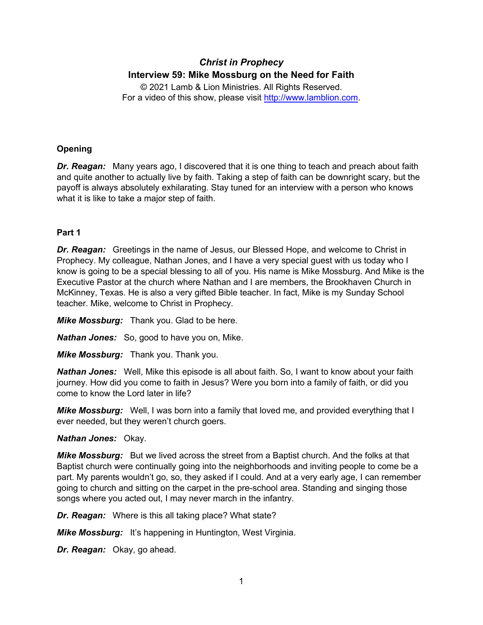# *Christ in Prophecy* **Interview 59: Mike Mossburg on the Need for Faith**

© 2021 Lamb & Lion Ministries. All Rights Reserved. For a video of this show, please visit [http://www.lamblion.com.](http://www.lamblion.com/)

# **Opening**

*Dr. Reagan:* Many years ago, I discovered that it is one thing to teach and preach about faith and quite another to actually live by faith. Taking a step of faith can be downright scary, but the payoff is always absolutely exhilarating. Stay tuned for an interview with a person who knows what it is like to take a major step of faith.

# **Part 1**

*Dr. Reagan:* Greetings in the name of Jesus, our Blessed Hope, and welcome to Christ in Prophecy. My colleague, Nathan Jones, and I have a very special guest with us today who I know is going to be a special blessing to all of you. His name is Mike Mossburg. And Mike is the Executive Pastor at the church where Nathan and I are members, the Brookhaven Church in McKinney, Texas. He is also a very gifted Bible teacher. In fact, Mike is my Sunday School teacher. Mike, welcome to Christ in Prophecy.

*Mike Mossburg:* Thank you. Glad to be here.

*Nathan Jones:* So, good to have you on, Mike.

*Mike Mossburg:* Thank you. Thank you.

*Nathan Jones:* Well, Mike this episode is all about faith. So, I want to know about your faith journey. How did you come to faith in Jesus? Were you born into a family of faith, or did you come to know the Lord later in life?

*Mike Mossburg:* Well, I was born into a family that loved me, and provided everything that I ever needed, but they weren't church goers.

# *Nathan Jones:* Okay.

*Mike Mossburg:* But we lived across the street from a Baptist church. And the folks at that Baptist church were continually going into the neighborhoods and inviting people to come be a part. My parents wouldn't go, so, they asked if I could. And at a very early age, I can remember going to church and sitting on the carpet in the pre-school area. Standing and singing those songs where you acted out, I may never march in the infantry.

*Dr. Reagan:* Where is this all taking place? What state?

*Mike Mossburg:* It's happening in Huntington, West Virginia.

*Dr. Reagan:* Okay, go ahead.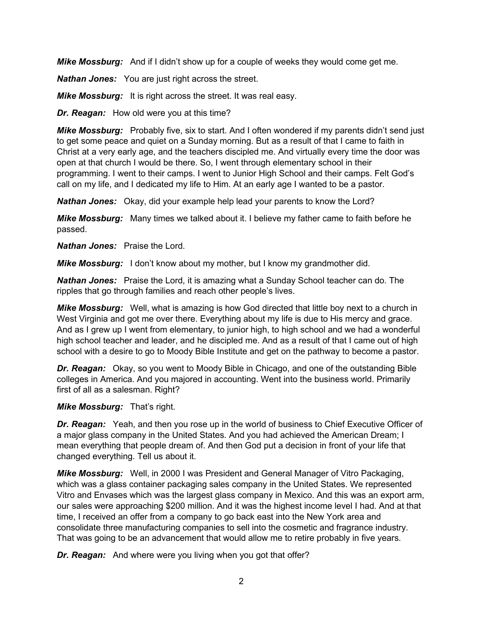*Mike Mossburg:* And if I didn't show up for a couple of weeks they would come get me.

*Nathan Jones:* You are just right across the street.

*Mike Mossburg:* It is right across the street. It was real easy.

*Dr. Reagan:* How old were you at this time?

*Mike Mossburg:* Probably five, six to start. And I often wondered if my parents didn't send just to get some peace and quiet on a Sunday morning. But as a result of that I came to faith in Christ at a very early age, and the teachers discipled me. And virtually every time the door was open at that church I would be there. So, I went through elementary school in their programming. I went to their camps. I went to Junior High School and their camps. Felt God's call on my life, and I dedicated my life to Him. At an early age I wanted to be a pastor.

*Nathan Jones:* Okay, did your example help lead your parents to know the Lord?

*Mike Mossburg:* Many times we talked about it. I believe my father came to faith before he passed.

*Nathan Jones:* Praise the Lord.

*Mike Mossburg:* I don't know about my mother, but I know my grandmother did.

*Nathan Jones:* Praise the Lord, it is amazing what a Sunday School teacher can do. The ripples that go through families and reach other people's lives.

*Mike Mossburg:* Well, what is amazing is how God directed that little boy next to a church in West Virginia and got me over there. Everything about my life is due to His mercy and grace. And as I grew up I went from elementary, to junior high, to high school and we had a wonderful high school teacher and leader, and he discipled me. And as a result of that I came out of high school with a desire to go to Moody Bible Institute and get on the pathway to become a pastor.

*Dr. Reagan:* Okay, so you went to Moody Bible in Chicago, and one of the outstanding Bible colleges in America. And you majored in accounting. Went into the business world. Primarily first of all as a salesman. Right?

# *Mike Mossburg:* That's right.

*Dr. Reagan:* Yeah, and then you rose up in the world of business to Chief Executive Officer of a major glass company in the United States. And you had achieved the American Dream; I mean everything that people dream of. And then God put a decision in front of your life that changed everything. Tell us about it.

*Mike Mossburg:* Well, in 2000 I was President and General Manager of Vitro Packaging, which was a glass container packaging sales company in the United States. We represented Vitro and Envases which was the largest glass company in Mexico. And this was an export arm, our sales were approaching \$200 million. And it was the highest income level I had. And at that time, I received an offer from a company to go back east into the New York area and consolidate three manufacturing companies to sell into the cosmetic and fragrance industry. That was going to be an advancement that would allow me to retire probably in five years.

*Dr. Reagan:* And where were you living when you got that offer?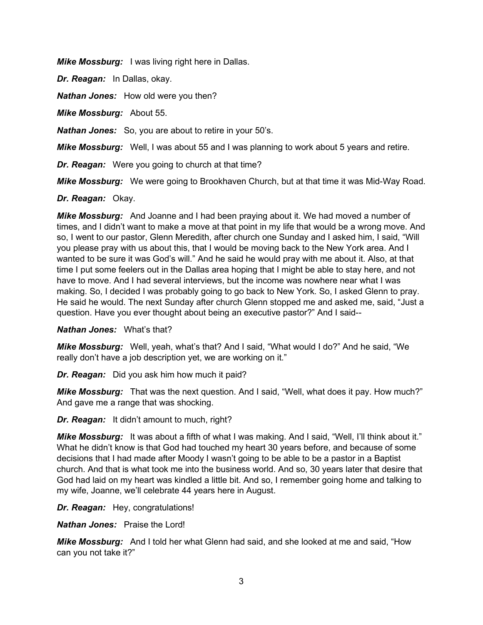*Mike Mossburg:* I was living right here in Dallas.

*Dr. Reagan:* In Dallas, okay.

*Nathan Jones:* How old were you then?

*Mike Mossburg:* About 55.

*Nathan Jones:* So, you are about to retire in your 50's.

*Mike Mossburg:* Well, I was about 55 and I was planning to work about 5 years and retire.

*Dr. Reagan:* Were you going to church at that time?

*Mike Mossburg:* We were going to Brookhaven Church, but at that time it was Mid-Way Road.

#### *Dr. Reagan:* Okay.

*Mike Mossburg:* And Joanne and I had been praying about it. We had moved a number of times, and I didn't want to make a move at that point in my life that would be a wrong move. And so, I went to our pastor, Glenn Meredith, after church one Sunday and I asked him, I said, "Will you please pray with us about this, that I would be moving back to the New York area. And I wanted to be sure it was God's will." And he said he would pray with me about it. Also, at that time I put some feelers out in the Dallas area hoping that I might be able to stay here, and not have to move. And I had several interviews, but the income was nowhere near what I was making. So, I decided I was probably going to go back to New York. So, I asked Glenn to pray. He said he would. The next Sunday after church Glenn stopped me and asked me, said, "Just a question. Have you ever thought about being an executive pastor?" And I said--

*Nathan Jones:* What's that?

*Mike Mossburg:* Well, yeah, what's that? And I said, "What would I do?" And he said, "We really don't have a job description yet, we are working on it."

*Dr. Reagan:* Did you ask him how much it paid?

*Mike Mossburg:* That was the next question. And I said, "Well, what does it pay. How much?" And gave me a range that was shocking.

*Dr. Reagan:* It didn't amount to much, right?

*Mike Mossburg:* It was about a fifth of what I was making. And I said, "Well, I'll think about it." What he didn't know is that God had touched my heart 30 years before, and because of some decisions that I had made after Moody I wasn't going to be able to be a pastor in a Baptist church. And that is what took me into the business world. And so, 30 years later that desire that God had laid on my heart was kindled a little bit. And so, I remember going home and talking to my wife, Joanne, we'll celebrate 44 years here in August.

*Dr. Reagan:* Hey, congratulations!

*Nathan Jones:* Praise the Lord!

*Mike Mossburg:* And I told her what Glenn had said, and she looked at me and said, "How can you not take it?"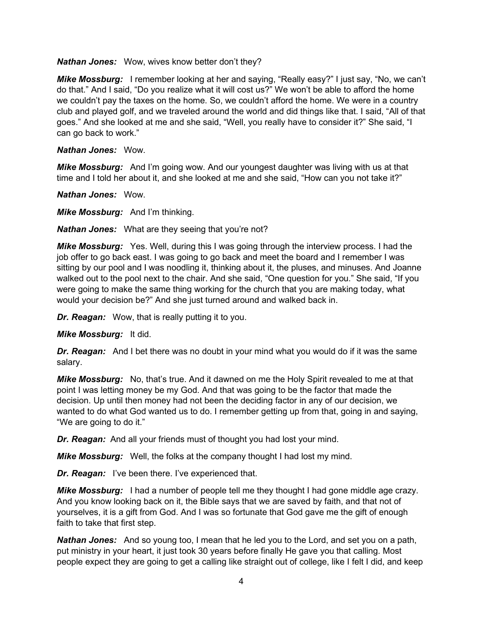#### *Nathan Jones:* Wow, wives know better don't they?

*Mike Mossburg:* I remember looking at her and saying, "Really easy?" I just say, "No, we can't do that." And I said, "Do you realize what it will cost us?" We won't be able to afford the home we couldn't pay the taxes on the home. So, we couldn't afford the home. We were in a country club and played golf, and we traveled around the world and did things like that. I said, "All of that goes." And she looked at me and she said, "Well, you really have to consider it?" She said, "I can go back to work."

### *Nathan Jones:* Wow.

*Mike Mossburg:* And I'm going wow. And our youngest daughter was living with us at that time and I told her about it, and she looked at me and she said, "How can you not take it?"

*Nathan Jones:* Wow.

*Mike Mossburg:* And I'm thinking.

*Nathan Jones:* What are they seeing that you're not?

*Mike Mossburg:* Yes. Well, during this I was going through the interview process. I had the job offer to go back east. I was going to go back and meet the board and I remember I was sitting by our pool and I was noodling it, thinking about it, the pluses, and minuses. And Joanne walked out to the pool next to the chair. And she said, "One question for you." She said, "If you were going to make the same thing working for the church that you are making today, what would your decision be?" And she just turned around and walked back in.

*Dr. Reagan:* Wow, that is really putting it to you.

#### *Mike Mossburg:* It did.

*Dr. Reagan:* And I bet there was no doubt in your mind what you would do if it was the same salary.

*Mike Mossburg:* No, that's true. And it dawned on me the Holy Spirit revealed to me at that point I was letting money be my God. And that was going to be the factor that made the decision. Up until then money had not been the deciding factor in any of our decision, we wanted to do what God wanted us to do. I remember getting up from that, going in and saying, "We are going to do it."

*Dr. Reagan:* And all your friends must of thought you had lost your mind.

*Mike Mossburg:* Well, the folks at the company thought I had lost my mind.

*Dr. Reagan:* I've been there. I've experienced that.

*Mike Mossburg:* I had a number of people tell me they thought I had gone middle age crazy. And you know looking back on it, the Bible says that we are saved by faith, and that not of yourselves, it is a gift from God. And I was so fortunate that God gave me the gift of enough faith to take that first step.

*Nathan Jones:* And so young too, I mean that he led you to the Lord, and set you on a path, put ministry in your heart, it just took 30 years before finally He gave you that calling. Most people expect they are going to get a calling like straight out of college, like I felt I did, and keep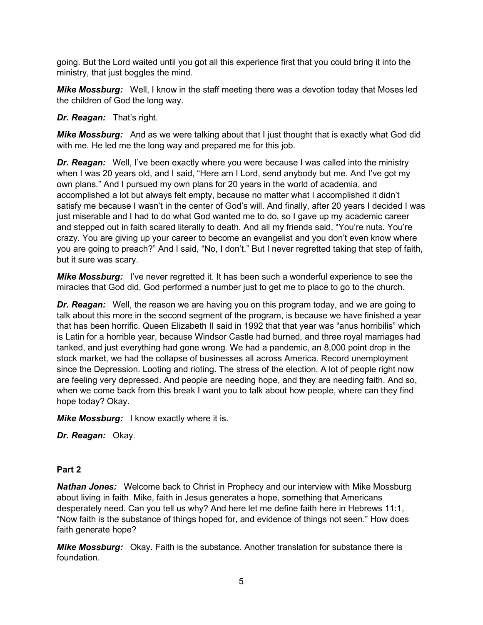going. But the Lord waited until you got all this experience first that you could bring it into the ministry, that just boggles the mind.

*Mike Mossburg:* Well, I know in the staff meeting there was a devotion today that Moses led the children of God the long way.

*Dr. Reagan:* That's right.

*Mike Mossburg:* And as we were talking about that I just thought that is exactly what God did with me. He led me the long way and prepared me for this job.

*Dr. Reagan:* Well, I've been exactly where you were because I was called into the ministry when I was 20 years old, and I said, "Here am I Lord, send anybody but me. And I've got my own plans." And I pursued my own plans for 20 years in the world of academia, and accomplished a lot but always felt empty, because no matter what I accomplished it didn't satisfy me because I wasn't in the center of God's will. And finally, after 20 years I decided I was just miserable and I had to do what God wanted me to do, so I gave up my academic career and stepped out in faith scared literally to death. And all my friends said, "You're nuts. You're crazy. You are giving up your career to become an evangelist and you don't even know where you are going to preach?" And I said, "No, I don't." But I never regretted taking that step of faith, but it sure was scary.

*Mike Mossburg:* I've never regretted it. It has been such a wonderful experience to see the miracles that God did. God performed a number just to get me to place to go to the church.

*Dr. Reagan:* Well, the reason we are having you on this program today, and we are going to talk about this more in the second segment of the program, is because we have finished a year that has been horrific. Queen Elizabeth II said in 1992 that that year was "anus horribilis" which is Latin for a horrible year, because Windsor Castle had burned, and three royal marriages had tanked, and just everything had gone wrong. We had a pandemic, an 8,000 point drop in the stock market, we had the collapse of businesses all across America. Record unemployment since the Depression. Looting and rioting. The stress of the election. A lot of people right now are feeling very depressed. And people are needing hope, and they are needing faith. And so, when we come back from this break I want you to talk about how people, where can they find hope today? Okay.

*Mike Mossburg:* I know exactly where it is.

*Dr. Reagan:* Okay.

# **Part 2**

*Nathan Jones:* Welcome back to Christ in Prophecy and our interview with Mike Mossburg about living in faith. Mike, faith in Jesus generates a hope, something that Americans desperately need. Can you tell us why? And here let me define faith here in Hebrews 11:1, "Now faith is the substance of things hoped for, and evidence of things not seen." How does faith generate hope?

*Mike Mossburg:* Okay. Faith is the substance. Another translation for substance there is foundation.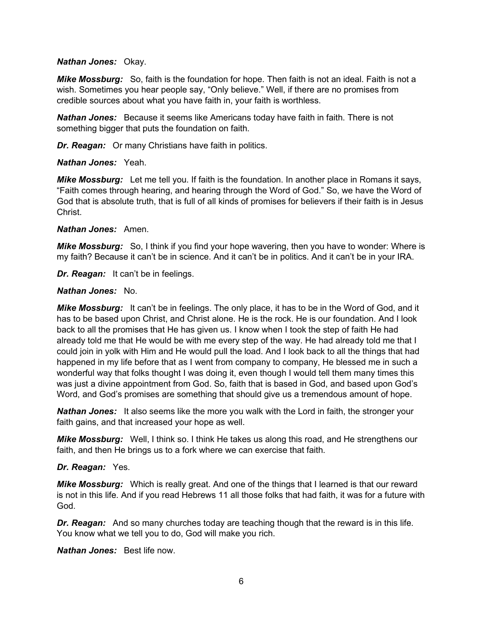#### *Nathan Jones:* Okay.

*Mike Mossburg:* So, faith is the foundation for hope. Then faith is not an ideal. Faith is not a wish. Sometimes you hear people say, "Only believe." Well, if there are no promises from credible sources about what you have faith in, your faith is worthless.

*Nathan Jones:* Because it seems like Americans today have faith in faith. There is not something bigger that puts the foundation on faith.

*Dr. Reagan:* Or many Christians have faith in politics.

#### *Nathan Jones:* Yeah.

*Mike Mossburg:* Let me tell you. If faith is the foundation. In another place in Romans it says, "Faith comes through hearing, and hearing through the Word of God." So, we have the Word of God that is absolute truth, that is full of all kinds of promises for believers if their faith is in Jesus **Christ** 

#### *Nathan Jones:* Amen.

*Mike Mossburg:* So, I think if you find your hope wavering, then you have to wonder: Where is my faith? Because it can't be in science. And it can't be in politics. And it can't be in your IRA.

*Dr. Reagan:* It can't be in feelings.

#### *Nathan Jones:* No.

*Mike Mossburg:* It can't be in feelings. The only place, it has to be in the Word of God, and it has to be based upon Christ, and Christ alone. He is the rock. He is our foundation. And I look back to all the promises that He has given us. I know when I took the step of faith He had already told me that He would be with me every step of the way. He had already told me that I could join in yolk with Him and He would pull the load. And I look back to all the things that had happened in my life before that as I went from company to company, He blessed me in such a wonderful way that folks thought I was doing it, even though I would tell them many times this was just a divine appointment from God. So, faith that is based in God, and based upon God's Word, and God's promises are something that should give us a tremendous amount of hope.

*Nathan Jones:* It also seems like the more you walk with the Lord in faith, the stronger your faith gains, and that increased your hope as well.

*Mike Mossburg:* Well, I think so. I think He takes us along this road, and He strengthens our faith, and then He brings us to a fork where we can exercise that faith.

# *Dr. Reagan:* Yes.

*Mike Mossburg:* Which is really great. And one of the things that I learned is that our reward is not in this life. And if you read Hebrews 11 all those folks that had faith, it was for a future with God.

*Dr. Reagan:* And so many churches today are teaching though that the reward is in this life. You know what we tell you to do, God will make you rich.

*Nathan Jones:* Best life now.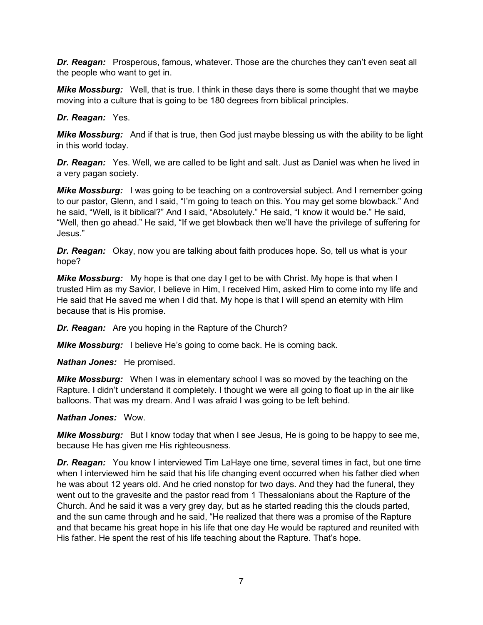**Dr. Reagan:** Prosperous, famous, whatever. Those are the churches they can't even seat all the people who want to get in.

*Mike Mossburg:* Well, that is true. I think in these days there is some thought that we maybe moving into a culture that is going to be 180 degrees from biblical principles.

*Dr. Reagan:* Yes.

*Mike Mossburg:* And if that is true, then God just maybe blessing us with the ability to be light in this world today.

*Dr. Reagan:* Yes. Well, we are called to be light and salt. Just as Daniel was when he lived in a very pagan society.

**Mike Mossburg:** I was going to be teaching on a controversial subject. And I remember going to our pastor, Glenn, and I said, "I'm going to teach on this. You may get some blowback." And he said, "Well, is it biblical?" And I said, "Absolutely." He said, "I know it would be." He said, "Well, then go ahead." He said, "If we get blowback then we'll have the privilege of suffering for Jesus."

*Dr. Reagan:* Okay, now you are talking about faith produces hope. So, tell us what is your hope?

*Mike Mossburg:* My hope is that one day I get to be with Christ. My hope is that when I trusted Him as my Savior, I believe in Him, I received Him, asked Him to come into my life and He said that He saved me when I did that. My hope is that I will spend an eternity with Him because that is His promise.

*Dr. Reagan:* Are you hoping in the Rapture of the Church?

*Mike Mossburg:* I believe He's going to come back. He is coming back.

*Nathan Jones:* He promised.

*Mike Mossburg:* When I was in elementary school I was so moved by the teaching on the Rapture. I didn't understand it completely. I thought we were all going to float up in the air like balloons. That was my dream. And I was afraid I was going to be left behind.

# *Nathan Jones:* Wow.

*Mike Mossburg:* But I know today that when I see Jesus, He is going to be happy to see me, because He has given me His righteousness.

*Dr. Reagan:* You know I interviewed Tim LaHaye one time, several times in fact, but one time when I interviewed him he said that his life changing event occurred when his father died when he was about 12 years old. And he cried nonstop for two days. And they had the funeral, they went out to the gravesite and the pastor read from 1 Thessalonians about the Rapture of the Church. And he said it was a very grey day, but as he started reading this the clouds parted, and the sun came through and he said, "He realized that there was a promise of the Rapture and that became his great hope in his life that one day He would be raptured and reunited with His father. He spent the rest of his life teaching about the Rapture. That's hope.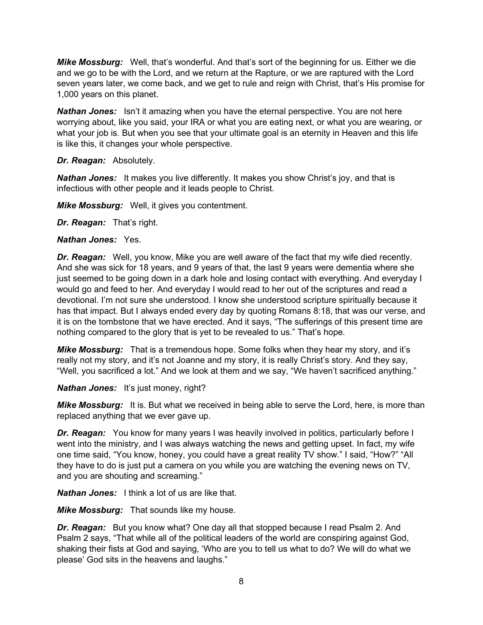*Mike Mossburg:* Well, that's wonderful. And that's sort of the beginning for us. Either we die and we go to be with the Lord, and we return at the Rapture, or we are raptured with the Lord seven years later, we come back, and we get to rule and reign with Christ, that's His promise for 1,000 years on this planet.

**Nathan Jones:** Isn't it amazing when you have the eternal perspective. You are not here worrying about, like you said, your IRA or what you are eating next, or what you are wearing, or what your job is. But when you see that your ultimate goal is an eternity in Heaven and this life is like this, it changes your whole perspective.

# *Dr. Reagan:* Absolutely.

*Nathan Jones:* It makes you live differently. It makes you show Christ's joy, and that is infectious with other people and it leads people to Christ.

*Mike Mossburg:* Well, it gives you contentment.

*Dr. Reagan:* That's right.

#### *Nathan Jones:* Yes.

*Dr. Reagan:* Well, you know, Mike you are well aware of the fact that my wife died recently. And she was sick for 18 years, and 9 years of that, the last 9 years were dementia where she just seemed to be going down in a dark hole and losing contact with everything. And everyday I would go and feed to her. And everyday I would read to her out of the scriptures and read a devotional. I'm not sure she understood. I know she understood scripture spiritually because it has that impact. But I always ended every day by quoting Romans 8:18, that was our verse, and it is on the tombstone that we have erected. And it says, "The sufferings of this present time are nothing compared to the glory that is yet to be revealed to us." That's hope.

*Mike Mossburg:* That is a tremendous hope. Some folks when they hear my story, and it's really not my story, and it's not Joanne and my story, it is really Christ's story. And they say, "Well, you sacrificed a lot." And we look at them and we say, "We haven't sacrificed anything."

#### *Nathan Jones:* It's just money, right?

**Mike Mossburg:** It is. But what we received in being able to serve the Lord, here, is more than replaced anything that we ever gave up.

*Dr. Reagan:* You know for many years I was heavily involved in politics, particularly before I went into the ministry, and I was always watching the news and getting upset. In fact, my wife one time said, "You know, honey, you could have a great reality TV show." I said, "How?" "All they have to do is just put a camera on you while you are watching the evening news on TV, and you are shouting and screaming."

*Nathan Jones:* I think a lot of us are like that.

*Mike Mossburg:* That sounds like my house.

*Dr. Reagan:* But you know what? One day all that stopped because I read Psalm 2. And Psalm 2 says, "That while all of the political leaders of the world are conspiring against God, shaking their fists at God and saying, 'Who are you to tell us what to do? We will do what we please' God sits in the heavens and laughs."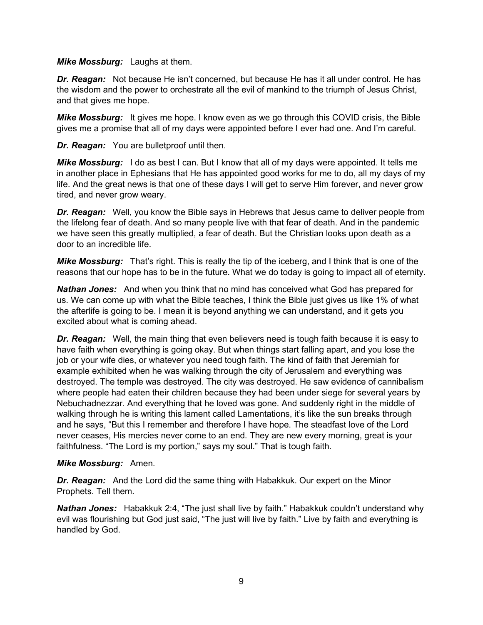*Mike Mossburg:* Laughs at them.

*Dr. Reagan:* Not because He isn't concerned, but because He has it all under control. He has the wisdom and the power to orchestrate all the evil of mankind to the triumph of Jesus Christ, and that gives me hope.

*Mike Mossburg:* It gives me hope. I know even as we go through this COVID crisis, the Bible gives me a promise that all of my days were appointed before I ever had one. And I'm careful.

*Dr. Reagan:* You are bulletproof until then.

*Mike Mossburg:* I do as best I can. But I know that all of my days were appointed. It tells me in another place in Ephesians that He has appointed good works for me to do, all my days of my life. And the great news is that one of these days I will get to serve Him forever, and never grow tired, and never grow weary.

*Dr. Reagan:* Well, you know the Bible says in Hebrews that Jesus came to deliver people from the lifelong fear of death. And so many people live with that fear of death. And in the pandemic we have seen this greatly multiplied, a fear of death. But the Christian looks upon death as a door to an incredible life.

*Mike Mossburg:* That's right. This is really the tip of the iceberg, and I think that is one of the reasons that our hope has to be in the future. What we do today is going to impact all of eternity.

*Nathan Jones:* And when you think that no mind has conceived what God has prepared for us. We can come up with what the Bible teaches, I think the Bible just gives us like 1% of what the afterlife is going to be. I mean it is beyond anything we can understand, and it gets you excited about what is coming ahead.

**Dr. Reagan:** Well, the main thing that even believers need is tough faith because it is easy to have faith when everything is going okay. But when things start falling apart, and you lose the job or your wife dies, or whatever you need tough faith. The kind of faith that Jeremiah for example exhibited when he was walking through the city of Jerusalem and everything was destroyed. The temple was destroyed. The city was destroyed. He saw evidence of cannibalism where people had eaten their children because they had been under siege for several years by Nebuchadnezzar. And everything that he loved was gone. And suddenly right in the middle of walking through he is writing this lament called Lamentations, it's like the sun breaks through and he says, "But this I remember and therefore I have hope. The steadfast love of the Lord never ceases, His mercies never come to an end. They are new every morning, great is your faithfulness. "The Lord is my portion," says my soul." That is tough faith.

# *Mike Mossburg:* Amen.

*Dr. Reagan:* And the Lord did the same thing with Habakkuk. Our expert on the Minor Prophets. Tell them.

*Nathan Jones:* Habakkuk 2:4, "The just shall live by faith." Habakkuk couldn't understand why evil was flourishing but God just said, "The just will live by faith." Live by faith and everything is handled by God.